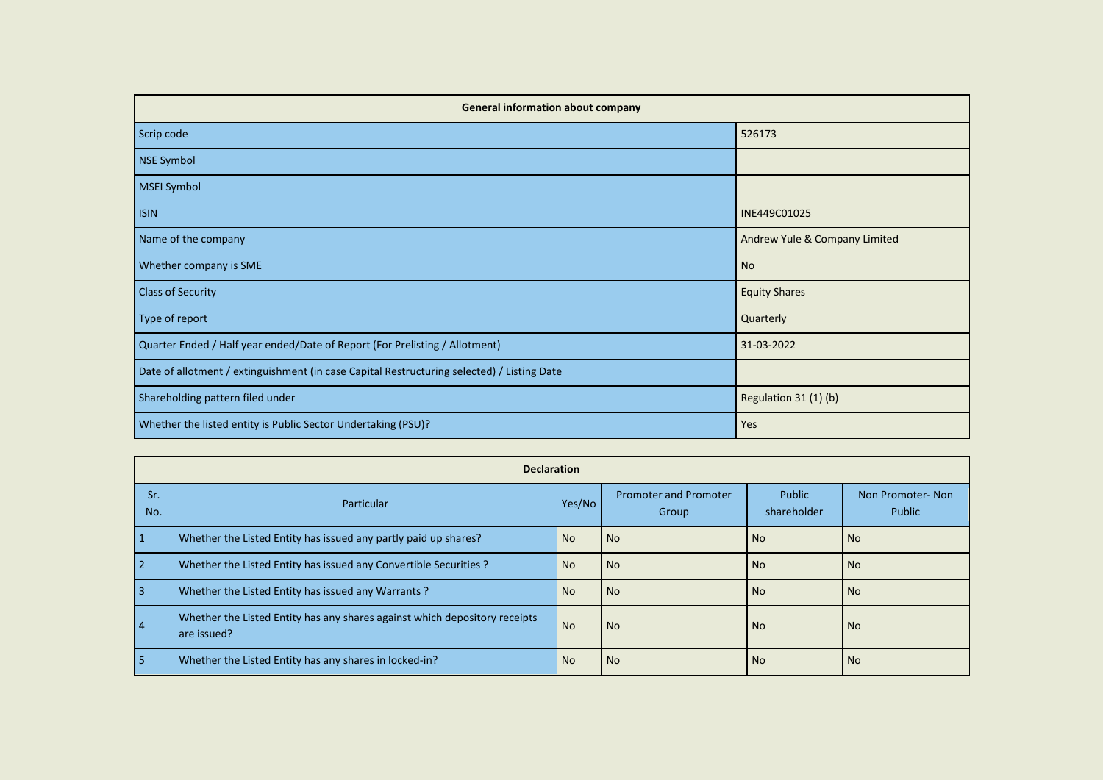| <b>General information about company</b>                                                   |                               |
|--------------------------------------------------------------------------------------------|-------------------------------|
| Scrip code                                                                                 | 526173                        |
| NSE Symbol                                                                                 |                               |
| <b>MSEI Symbol</b>                                                                         |                               |
| <b>ISIN</b>                                                                                | INE449C01025                  |
| Name of the company                                                                        | Andrew Yule & Company Limited |
| Whether company is SME                                                                     | <b>No</b>                     |
| <b>Class of Security</b>                                                                   | <b>Equity Shares</b>          |
| Type of report                                                                             | Quarterly                     |
| Quarter Ended / Half year ended/Date of Report (For Prelisting / Allotment)                | 31-03-2022                    |
| Date of allotment / extinguishment (in case Capital Restructuring selected) / Listing Date |                               |
| Shareholding pattern filed under                                                           | Regulation 31 (1) (b)         |
| Whether the listed entity is Public Sector Undertaking (PSU)?                              | Yes                           |

|                | <b>Declaration</b>                                                                        |           |                                       |                       |                            |
|----------------|-------------------------------------------------------------------------------------------|-----------|---------------------------------------|-----------------------|----------------------------|
| Sr.<br>No.     | Particular                                                                                | Yes/No    | <b>Promoter and Promoter</b><br>Group | Public<br>shareholder | Non Promoter-Non<br>Public |
|                | Whether the Listed Entity has issued any partly paid up shares?                           | <b>No</b> | No.                                   | No.                   | <b>No</b>                  |
| $\overline{2}$ | Whether the Listed Entity has issued any Convertible Securities ?                         | <b>No</b> | No.                                   | No.                   | <b>No</b>                  |
| 3              | Whether the Listed Entity has issued any Warrants?                                        | <b>No</b> | No.                                   | No.                   | <b>No</b>                  |
| 4              | Whether the Listed Entity has any shares against which depository receipts<br>are issued? | <b>No</b> | No                                    | No.                   | <b>No</b>                  |
| 5              | Whether the Listed Entity has any shares in locked-in?                                    | <b>No</b> | N <sub>o</sub>                        | <b>No</b>             | <b>No</b>                  |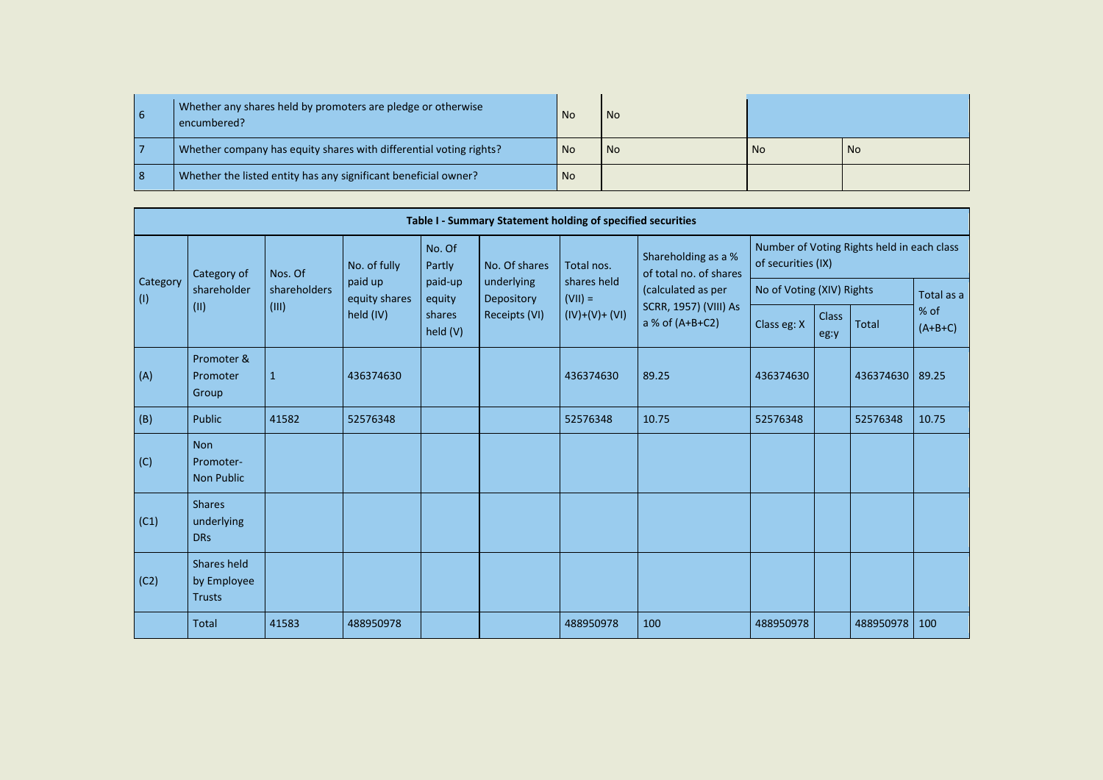|    | Whether any shares held by promoters are pledge or otherwise<br>encumbered? | - No | l No |      |      |
|----|-----------------------------------------------------------------------------|------|------|------|------|
|    | Whether company has equity shares with differential voting rights?          | - No | No   | l No | l No |
| -8 | Whether the listed entity has any significant beneficial owner?             | l No |      |      |      |

|                         |                                              |              |                          |                    | Table I - Summary Statement holding of specified securities |                          |                                               |                           |                      |                                            |                   |
|-------------------------|----------------------------------------------|--------------|--------------------------|--------------------|-------------------------------------------------------------|--------------------------|-----------------------------------------------|---------------------------|----------------------|--------------------------------------------|-------------------|
|                         | Category of                                  | Nos. Of      | No. of fully             | No. Of<br>Partly   | No. Of shares                                               | Total nos.               | Shareholding as a %<br>of total no. of shares | of securities (IX)        |                      | Number of Voting Rights held in each class |                   |
| Category<br>$\vert$ (I) | shareholder                                  | shareholders | paid up<br>equity shares | paid-up<br>equity  | underlying<br>Depository                                    | shares held<br>$(VII) =$ | (calculated as per                            | No of Voting (XIV) Rights |                      |                                            | Total as a        |
|                         | (11)                                         | (III)        | held (IV)                | shares<br>held (V) | Receipts (VI)                                               | $(IV)+(V)+(V)$           | SCRR, 1957) (VIII) As<br>a % of $(A+B+C2)$    | Class eg: X               | <b>Class</b><br>eg:y | <b>Total</b>                               | % of<br>$(A+B+C)$ |
| (A)                     | Promoter &<br>Promoter<br>Group              | $\mathbf{1}$ | 436374630                |                    |                                                             | 436374630                | 89.25                                         | 436374630                 |                      | 436374630                                  | 89.25             |
| (B)                     | <b>Public</b>                                | 41582        | 52576348                 |                    |                                                             | 52576348                 | 10.75                                         | 52576348                  |                      | 52576348                                   | 10.75             |
| (C)                     | <b>Non</b><br>Promoter-<br><b>Non Public</b> |              |                          |                    |                                                             |                          |                                               |                           |                      |                                            |                   |
| (C1)                    | <b>Shares</b><br>underlying<br><b>DRs</b>    |              |                          |                    |                                                             |                          |                                               |                           |                      |                                            |                   |
| (C2)                    | Shares held<br>by Employee<br><b>Trusts</b>  |              |                          |                    |                                                             |                          |                                               |                           |                      |                                            |                   |
|                         | <b>Total</b>                                 | 41583        | 488950978                |                    |                                                             | 488950978                | 100                                           | 488950978                 |                      | 488950978                                  | 100               |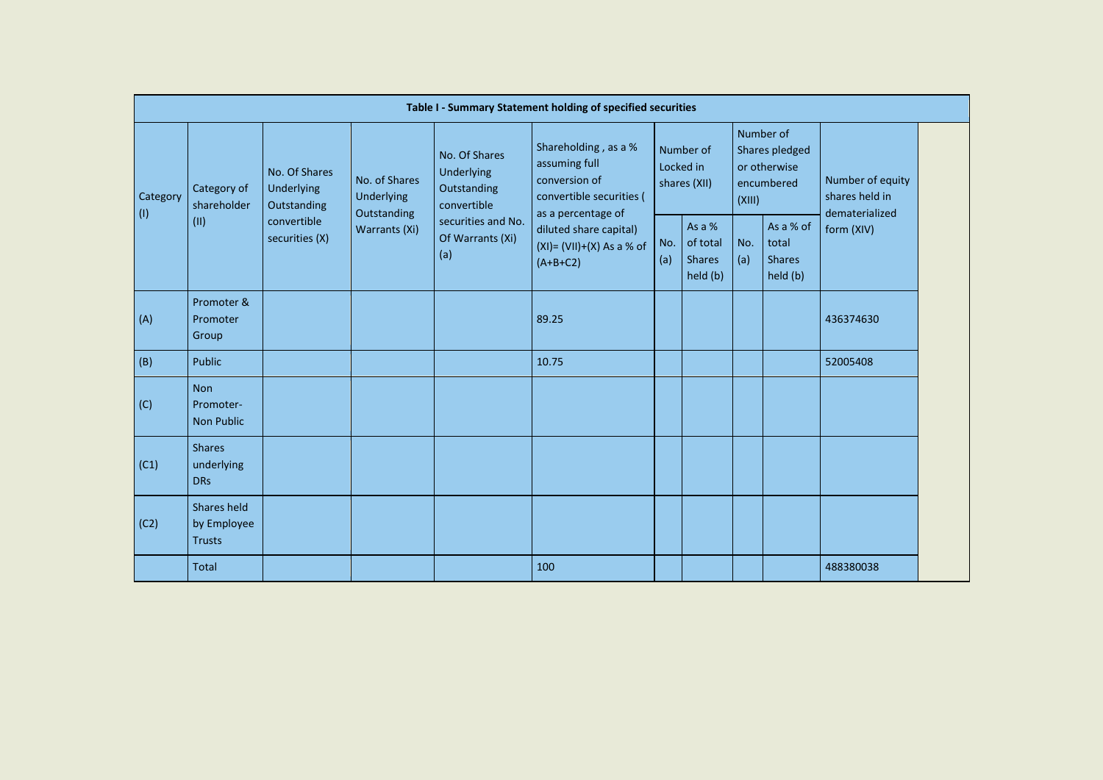|          |                                              |                                            |                                            |                                                           | Table I - Summary Statement holding of specified securities                                              |            |                                                 |            |                                                           |                                                      |
|----------|----------------------------------------------|--------------------------------------------|--------------------------------------------|-----------------------------------------------------------|----------------------------------------------------------------------------------------------------------|------------|-------------------------------------------------|------------|-----------------------------------------------------------|------------------------------------------------------|
| Category | Category of<br>shareholder                   | No. Of Shares<br>Underlying<br>Outstanding | No. of Shares<br>Underlying<br>Outstanding | No. Of Shares<br>Underlying<br>Outstanding<br>convertible | Shareholding, as a %<br>assuming full<br>conversion of<br>convertible securities (<br>as a percentage of |            | Number of<br>Locked in<br>shares (XII)          | (XIII)     | Number of<br>Shares pledged<br>or otherwise<br>encumbered | Number of equity<br>shares held in<br>dematerialized |
| (1)      | (II)                                         | convertible<br>securities (X)              | Warrants (Xi)                              | securities and No.<br>Of Warrants (Xi)<br>(a)             | diluted share capital)<br>$(XI) = (VII)+(X) As a % of$<br>$(A+B+C2)$                                     | No.<br>(a) | As a %<br>of total<br><b>Shares</b><br>held (b) | No.<br>(a) | As a % of<br>total<br><b>Shares</b><br>held (b)           | form (XIV)                                           |
| (A)      | Promoter &<br>Promoter<br>Group              |                                            |                                            |                                                           | 89.25                                                                                                    |            |                                                 |            |                                                           | 436374630                                            |
| (B)      | Public                                       |                                            |                                            |                                                           | 10.75                                                                                                    |            |                                                 |            |                                                           | 52005408                                             |
| (C)      | <b>Non</b><br>Promoter-<br><b>Non Public</b> |                                            |                                            |                                                           |                                                                                                          |            |                                                 |            |                                                           |                                                      |
| (C1)     | <b>Shares</b><br>underlying<br><b>DRs</b>    |                                            |                                            |                                                           |                                                                                                          |            |                                                 |            |                                                           |                                                      |
| (C2)     | Shares held<br>by Employee<br><b>Trusts</b>  |                                            |                                            |                                                           |                                                                                                          |            |                                                 |            |                                                           |                                                      |
|          | <b>Total</b>                                 |                                            |                                            |                                                           | 100                                                                                                      |            |                                                 |            |                                                           | 488380038                                            |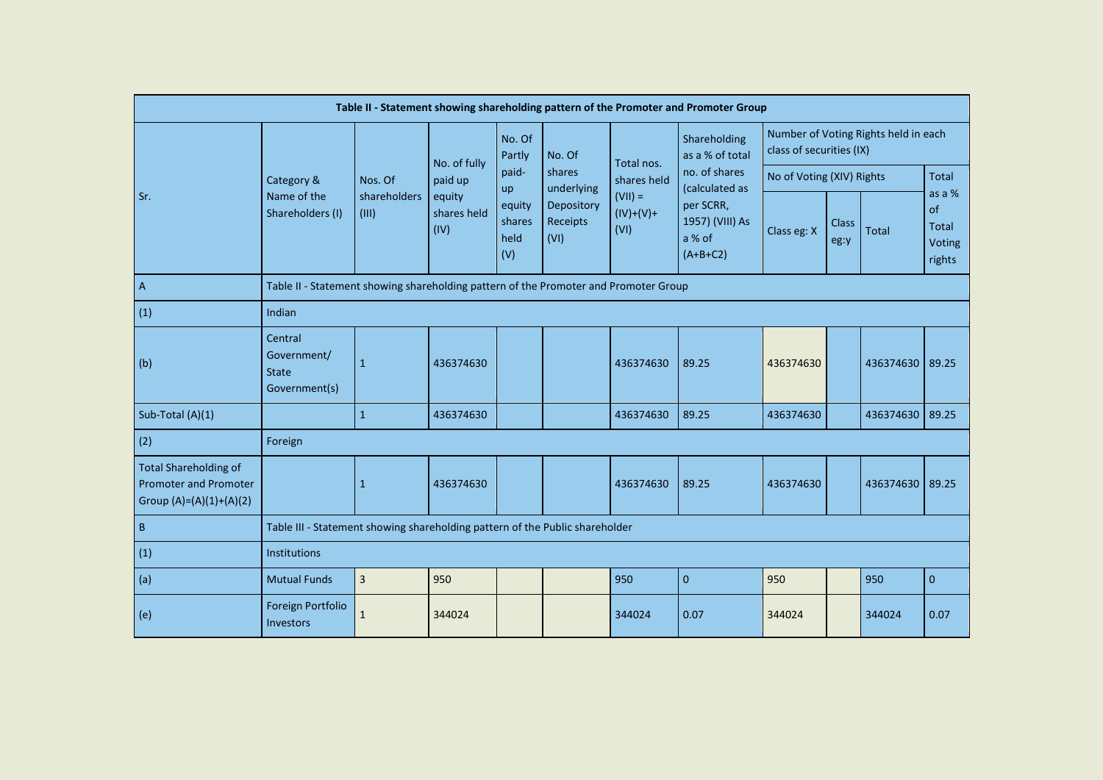|                                                                                           |                                                                                      |                       |                               |                                              |                                              |                                  | Table II - Statement showing shareholding pattern of the Promoter and Promoter Group |                           |                      |                                      |                                           |
|-------------------------------------------------------------------------------------------|--------------------------------------------------------------------------------------|-----------------------|-------------------------------|----------------------------------------------|----------------------------------------------|----------------------------------|--------------------------------------------------------------------------------------|---------------------------|----------------------|--------------------------------------|-------------------------------------------|
|                                                                                           |                                                                                      |                       | No. of fully                  | No. Of<br>Partly                             | No. Of                                       | Total nos.                       | Shareholding<br>as a % of total                                                      | class of securities (IX)  |                      | Number of Voting Rights held in each |                                           |
|                                                                                           | Category &                                                                           | Nos. Of               | paid up                       | paid-                                        | shares                                       | shares held                      | no. of shares                                                                        | No of Voting (XIV) Rights |                      |                                      | <b>Total</b>                              |
| Sr.                                                                                       | Name of the<br>Shareholders (I)                                                      | shareholders<br>(III) | equity<br>shares held<br>(IV) | <b>up</b><br>equity<br>shares<br>held<br>(V) | underlying<br>Depository<br>Receipts<br>(VI) | $(VII) =$<br>$(IV)+(V)+$<br>(VI) | (calculated as<br>per SCRR,<br>1957) (VIII) As<br>a % of<br>$(A+B+C2)$               | Class eg: X               | <b>Class</b><br>eg:y | <b>Total</b>                         | as a %<br>of<br>Total<br>Voting<br>rights |
| $\overline{A}$                                                                            | Table II - Statement showing shareholding pattern of the Promoter and Promoter Group |                       |                               |                                              |                                              |                                  |                                                                                      |                           |                      |                                      |                                           |
| (1)                                                                                       | Indian                                                                               |                       |                               |                                              |                                              |                                  |                                                                                      |                           |                      |                                      |                                           |
| (b)                                                                                       | Central<br>Government/<br><b>State</b><br>Government(s)                              | $\mathbf{1}$          | 436374630                     |                                              |                                              | 436374630                        | 89.25                                                                                | 436374630                 |                      | 436374630                            | 89.25                                     |
| Sub-Total (A)(1)                                                                          |                                                                                      | $\mathbf{1}$          | 436374630                     |                                              |                                              | 436374630                        | 89.25                                                                                | 436374630                 |                      | 436374630                            | 89.25                                     |
| (2)                                                                                       | Foreign                                                                              |                       |                               |                                              |                                              |                                  |                                                                                      |                           |                      |                                      |                                           |
| <b>Total Shareholding of</b><br><b>Promoter and Promoter</b><br>Group $(A)=(A)(1)+(A)(2)$ |                                                                                      | $\mathbf{1}$          | 436374630                     |                                              |                                              | 436374630                        | 89.25                                                                                | 436374630                 |                      | 436374630                            | 89.25                                     |
| $\sf B$                                                                                   | Table III - Statement showing shareholding pattern of the Public shareholder         |                       |                               |                                              |                                              |                                  |                                                                                      |                           |                      |                                      |                                           |
| (1)                                                                                       | Institutions                                                                         |                       |                               |                                              |                                              |                                  |                                                                                      |                           |                      |                                      |                                           |
| (a)                                                                                       | <b>Mutual Funds</b>                                                                  | $\overline{3}$        | 950                           |                                              |                                              | 950                              | $\pmb{0}$                                                                            | 950                       |                      | 950                                  | $\mathbf 0$                               |
| (e)                                                                                       | Foreign Portfolio<br>Investors                                                       | 1                     | 344024                        |                                              |                                              | 344024                           | 0.07                                                                                 | 344024                    |                      | 344024                               | 0.07                                      |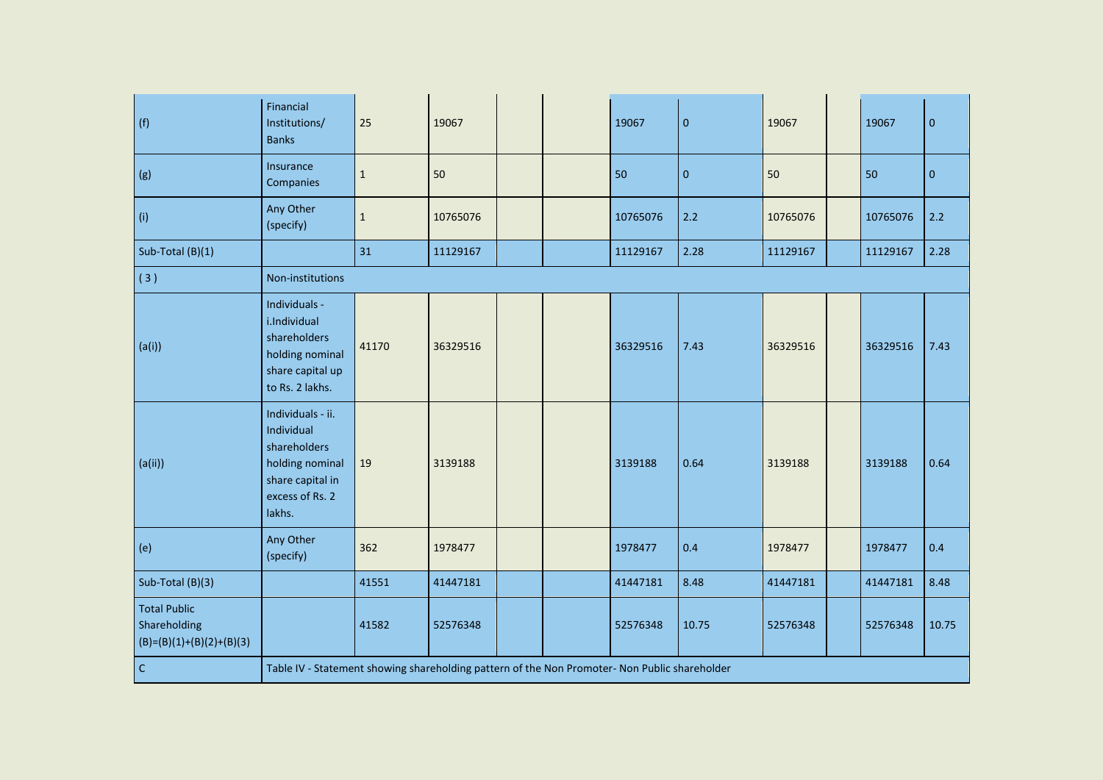| (f)                                                               | Financial<br>Institutions/<br><b>Banks</b>                                                                          | 25          | 19067    |  | 19067    | $\pmb{0}$ | 19067    | 19067    | $\pmb{0}$    |
|-------------------------------------------------------------------|---------------------------------------------------------------------------------------------------------------------|-------------|----------|--|----------|-----------|----------|----------|--------------|
| (g)                                                               | Insurance<br>Companies                                                                                              | $\mathbf 1$ | 50       |  | 50       | $\pmb{0}$ | 50       | 50       | $\mathbf{0}$ |
| (i)                                                               | Any Other<br>(specify)                                                                                              | $1\,$       | 10765076 |  | 10765076 | $2.2$     | 10765076 | 10765076 | $2.2$        |
| Sub-Total (B)(1)                                                  |                                                                                                                     | 31          | 11129167 |  | 11129167 | 2.28      | 11129167 | 11129167 | 2.28         |
| (3)                                                               | Non-institutions                                                                                                    |             |          |  |          |           |          |          |              |
| (a(i))                                                            | Individuals -<br>i.Individual<br>shareholders<br>holding nominal<br>share capital up<br>to Rs. 2 lakhs.             | 41170       | 36329516 |  | 36329516 | 7.43      | 36329516 | 36329516 | 7.43         |
| (a(ii))                                                           | Individuals - ii.<br>Individual<br>shareholders<br>holding nominal<br>share capital in<br>excess of Rs. 2<br>lakhs. | 19          | 3139188  |  | 3139188  | 0.64      | 3139188  | 3139188  | 0.64         |
| (e)                                                               | Any Other<br>(specify)                                                                                              | 362         | 1978477  |  | 1978477  | 0.4       | 1978477  | 1978477  | 0.4          |
| Sub-Total (B)(3)                                                  |                                                                                                                     | 41551       | 41447181 |  | 41447181 | 8.48      | 41447181 | 41447181 | 8.48         |
| <b>Total Public</b><br>Shareholding<br>$(B)=(B)(1)+(B)(2)+(B)(3)$ |                                                                                                                     | 41582       | 52576348 |  | 52576348 | 10.75     | 52576348 | 52576348 | 10.75        |
| c                                                                 | Table IV - Statement showing shareholding pattern of the Non Promoter- Non Public shareholder                       |             |          |  |          |           |          |          |              |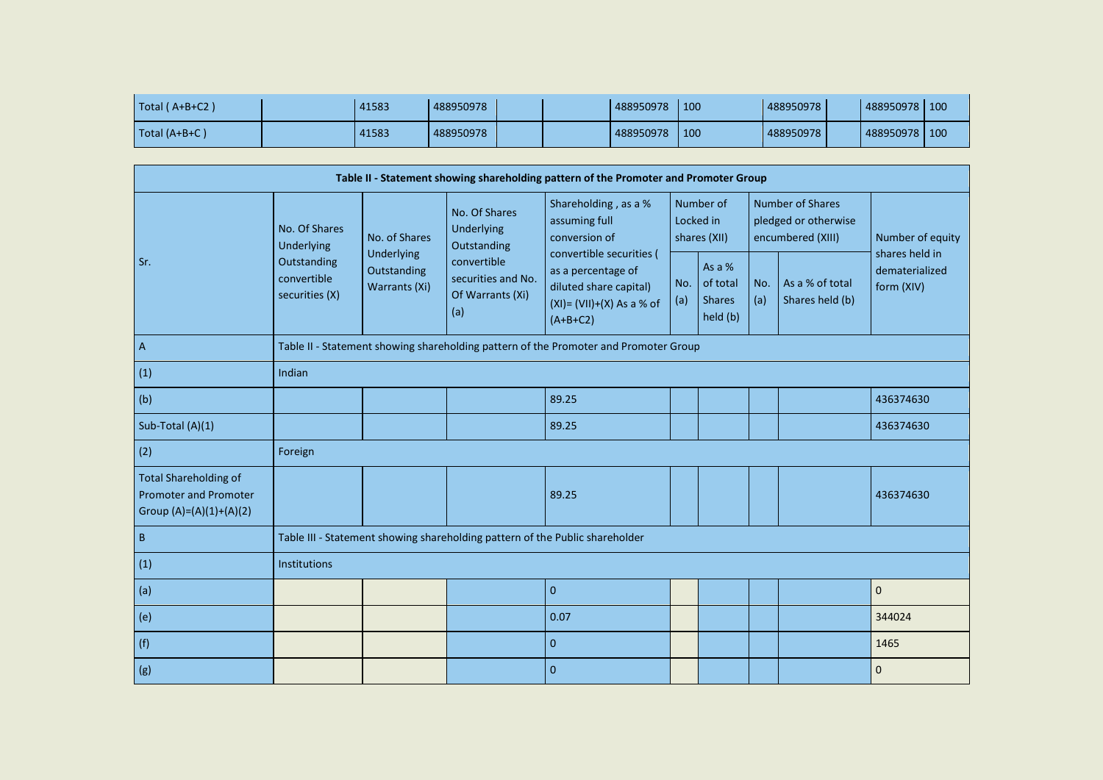| Total (A+B+C2)                                                                            |                                              | 41583                        | 488950978                                                    |                                                                                            | 488950978 | 100        |                                                   |            | 488950978                                                            | 488950978 100                      |  |
|-------------------------------------------------------------------------------------------|----------------------------------------------|------------------------------|--------------------------------------------------------------|--------------------------------------------------------------------------------------------|-----------|------------|---------------------------------------------------|------------|----------------------------------------------------------------------|------------------------------------|--|
| Total (A+B+C)                                                                             |                                              | 41583                        | 488950978                                                    |                                                                                            | 488950978 | 100        |                                                   |            | 488950978                                                            | 488950978 100                      |  |
|                                                                                           |                                              |                              |                                                              |                                                                                            |           |            |                                                   |            |                                                                      |                                    |  |
|                                                                                           |                                              |                              |                                                              | Table II - Statement showing shareholding pattern of the Promoter and Promoter Group       |           |            |                                                   |            |                                                                      |                                    |  |
|                                                                                           | No. Of Shares<br>Underlying                  | No. of Shares<br>Underlying  | No. Of Shares<br>Underlying<br>Outstanding                   | Shareholding, as a %<br>assuming full<br>conversion of<br>convertible securities (         |           |            | Number of<br>Locked in<br>shares (XII)            |            | <b>Number of Shares</b><br>pledged or otherwise<br>encumbered (XIII) | Number of equity<br>shares held in |  |
| Sr.                                                                                       | Outstanding<br>convertible<br>securities (X) | Outstanding<br>Warrants (Xi) | convertible<br>securities and No.<br>Of Warrants (Xi)<br>(a) | as a percentage of<br>diluted share capital)<br>$(XI) = (VII)+(X) As a % of$<br>$(A+B+C2)$ |           | No.<br>(a) | As a $%$<br>of total<br><b>Shares</b><br>held (b) | No.<br>(a) | As a % of total<br>Shares held (b)                                   | dematerialized<br>form (XIV)       |  |
| A                                                                                         |                                              |                              |                                                              | Table II - Statement showing shareholding pattern of the Promoter and Promoter Group       |           |            |                                                   |            |                                                                      |                                    |  |
| (1)                                                                                       | Indian                                       |                              |                                                              |                                                                                            |           |            |                                                   |            |                                                                      |                                    |  |
| (b)                                                                                       |                                              |                              |                                                              | 89.25                                                                                      |           |            |                                                   |            |                                                                      | 436374630                          |  |
| Sub-Total (A)(1)                                                                          |                                              |                              |                                                              | 89.25                                                                                      |           |            |                                                   |            |                                                                      | 436374630                          |  |
| (2)                                                                                       | Foreign                                      |                              |                                                              |                                                                                            |           |            |                                                   |            |                                                                      |                                    |  |
| <b>Total Shareholding of</b><br><b>Promoter and Promoter</b><br>Group $(A)=(A)(1)+(A)(2)$ |                                              |                              |                                                              | 89.25                                                                                      |           |            |                                                   |            |                                                                      | 436374630                          |  |
| $\sf B$                                                                                   |                                              |                              |                                                              | Table III - Statement showing shareholding pattern of the Public shareholder               |           |            |                                                   |            |                                                                      |                                    |  |
| (1)                                                                                       | Institutions                                 |                              |                                                              |                                                                                            |           |            |                                                   |            |                                                                      |                                    |  |
| (a)                                                                                       |                                              |                              |                                                              | $\mathbf 0$                                                                                |           |            |                                                   |            |                                                                      | $\pmb{0}$                          |  |
| (e)                                                                                       |                                              |                              |                                                              | 0.07                                                                                       |           |            |                                                   |            |                                                                      | 344024                             |  |
| (f)                                                                                       |                                              |                              |                                                              | $\mathbf{0}$                                                                               |           |            |                                                   |            |                                                                      | 1465                               |  |
| (g)                                                                                       |                                              |                              |                                                              | $\mathbf{0}$                                                                               |           |            |                                                   |            |                                                                      | $\pmb{0}$                          |  |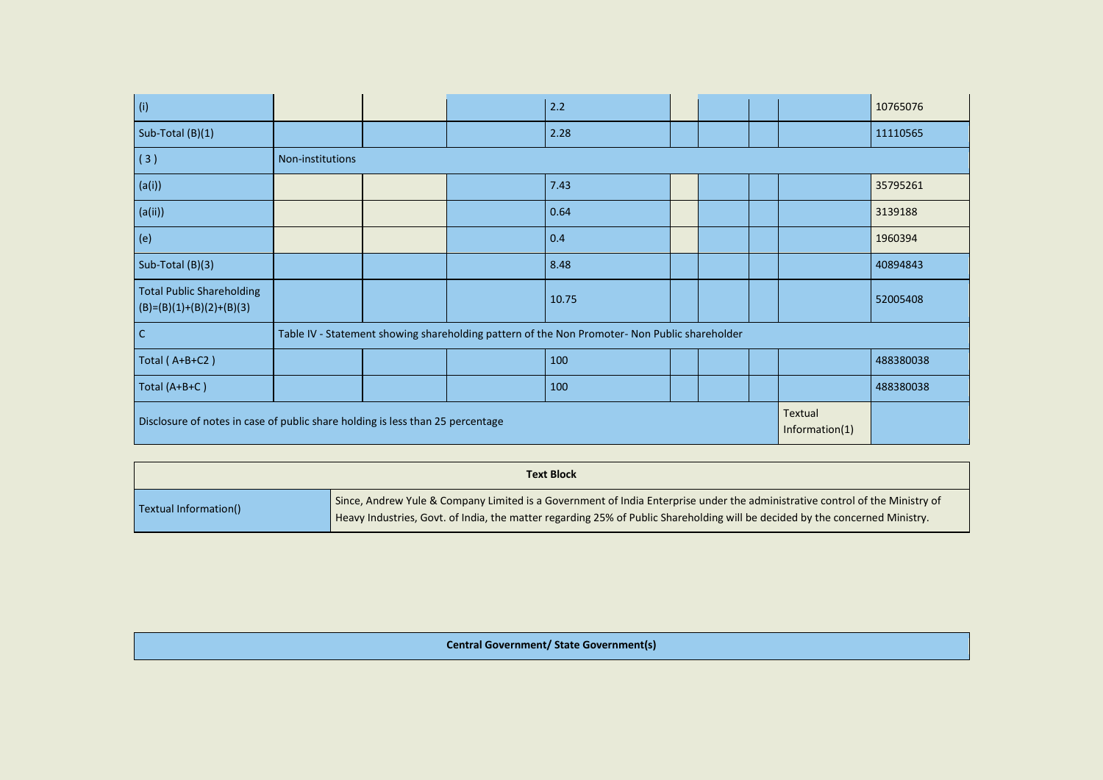| $\vert$ (i)                                                                    |                  |  | 2.2                                                                                           |  |                           | 10765076  |
|--------------------------------------------------------------------------------|------------------|--|-----------------------------------------------------------------------------------------------|--|---------------------------|-----------|
| Sub-Total (B)(1)                                                               |                  |  | 2.28                                                                                          |  |                           | 11110565  |
| (3)                                                                            | Non-institutions |  |                                                                                               |  |                           |           |
| (a(i))                                                                         |                  |  | 7.43                                                                                          |  |                           | 35795261  |
| (a(ii))                                                                        |                  |  | 0.64                                                                                          |  |                           | 3139188   |
| (e)                                                                            |                  |  | 0.4                                                                                           |  |                           | 1960394   |
| Sub-Total (B)(3)                                                               |                  |  | 8.48                                                                                          |  |                           | 40894843  |
| <b>Total Public Shareholding</b><br>$(B)=(B)(1)+(B)(2)+(B)(3)$                 |                  |  | 10.75                                                                                         |  |                           | 52005408  |
| l c                                                                            |                  |  | Table IV - Statement showing shareholding pattern of the Non Promoter- Non Public shareholder |  |                           |           |
| Total $(A+B+C2)$                                                               |                  |  | 100                                                                                           |  |                           | 488380038 |
| Total (A+B+C)                                                                  |                  |  | 100                                                                                           |  |                           | 488380038 |
| Disclosure of notes in case of public share holding is less than 25 percentage |                  |  |                                                                                               |  | Textual<br>Information(1) |           |

|                       | <b>Text Block</b>                                                                                                                                                                                                                                            |
|-----------------------|--------------------------------------------------------------------------------------------------------------------------------------------------------------------------------------------------------------------------------------------------------------|
| Textual Information() | Since, Andrew Yule & Company Limited is a Government of India Enterprise under the administrative control of the Ministry of<br>Heavy Industries, Govt. of India, the matter regarding 25% of Public Shareholding will be decided by the concerned Ministry. |

## **Central Government/ State Government(s)**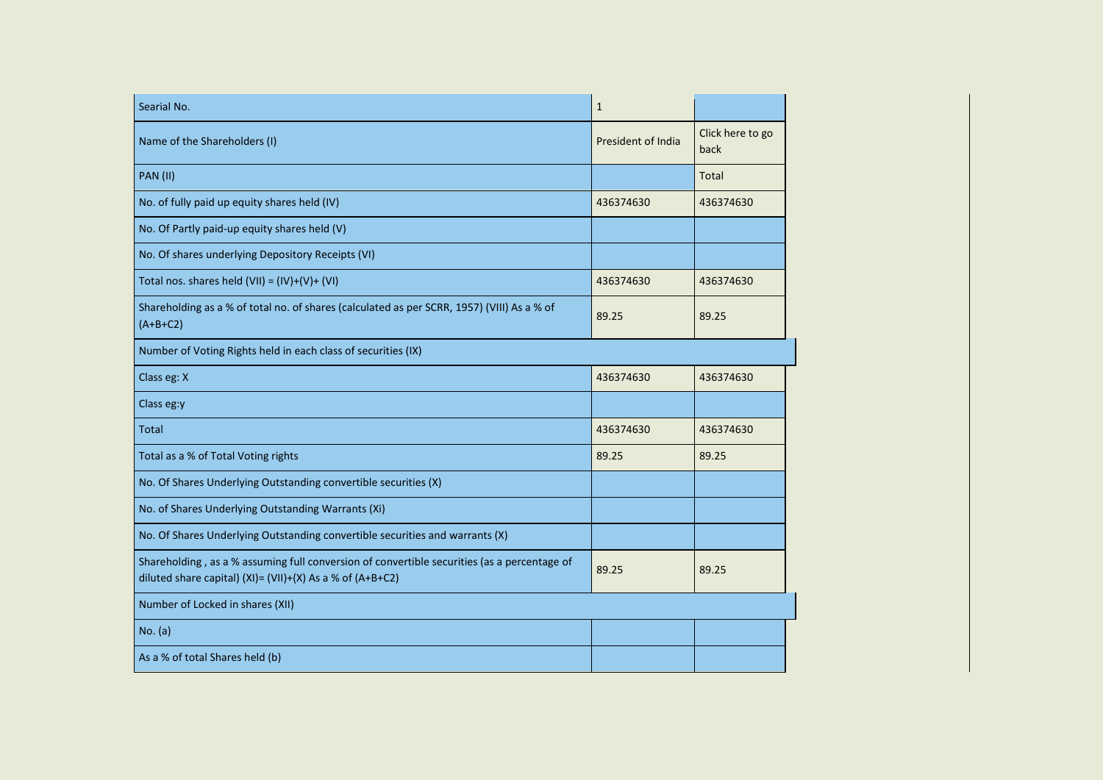| Searial No.                                                                                                                                              | $\mathbf{1}$       |                          |
|----------------------------------------------------------------------------------------------------------------------------------------------------------|--------------------|--------------------------|
| Name of the Shareholders (I)                                                                                                                             | President of India | Click here to go<br>back |
| <b>PAN (II)</b>                                                                                                                                          |                    | Total                    |
| No. of fully paid up equity shares held (IV)                                                                                                             | 436374630          | 436374630                |
| No. Of Partly paid-up equity shares held (V)                                                                                                             |                    |                          |
| No. Of shares underlying Depository Receipts (VI)                                                                                                        |                    |                          |
| Total nos. shares held $(VII) = (IV)+(V)+(VI)$                                                                                                           | 436374630          | 436374630                |
| Shareholding as a % of total no. of shares (calculated as per SCRR, 1957) (VIII) As a % of<br>$(A+B+C2)$                                                 | 89.25              | 89.25                    |
| Number of Voting Rights held in each class of securities (IX)                                                                                            |                    |                          |
| Class eg: X                                                                                                                                              | 436374630          | 436374630                |
| Class eg:y                                                                                                                                               |                    |                          |
| <b>Total</b>                                                                                                                                             | 436374630          | 436374630                |
| Total as a % of Total Voting rights                                                                                                                      | 89.25              | 89.25                    |
| No. Of Shares Underlying Outstanding convertible securities (X)                                                                                          |                    |                          |
| No. of Shares Underlying Outstanding Warrants (Xi)                                                                                                       |                    |                          |
| No. Of Shares Underlying Outstanding convertible securities and warrants (X)                                                                             |                    |                          |
| Shareholding, as a % assuming full conversion of convertible securities (as a percentage of<br>diluted share capital) (XI)= (VII)+(X) As a % of (A+B+C2) | 89.25              | 89.25                    |
| Number of Locked in shares (XII)                                                                                                                         |                    |                          |
| No. (a)                                                                                                                                                  |                    |                          |
| As a % of total Shares held (b)                                                                                                                          |                    |                          |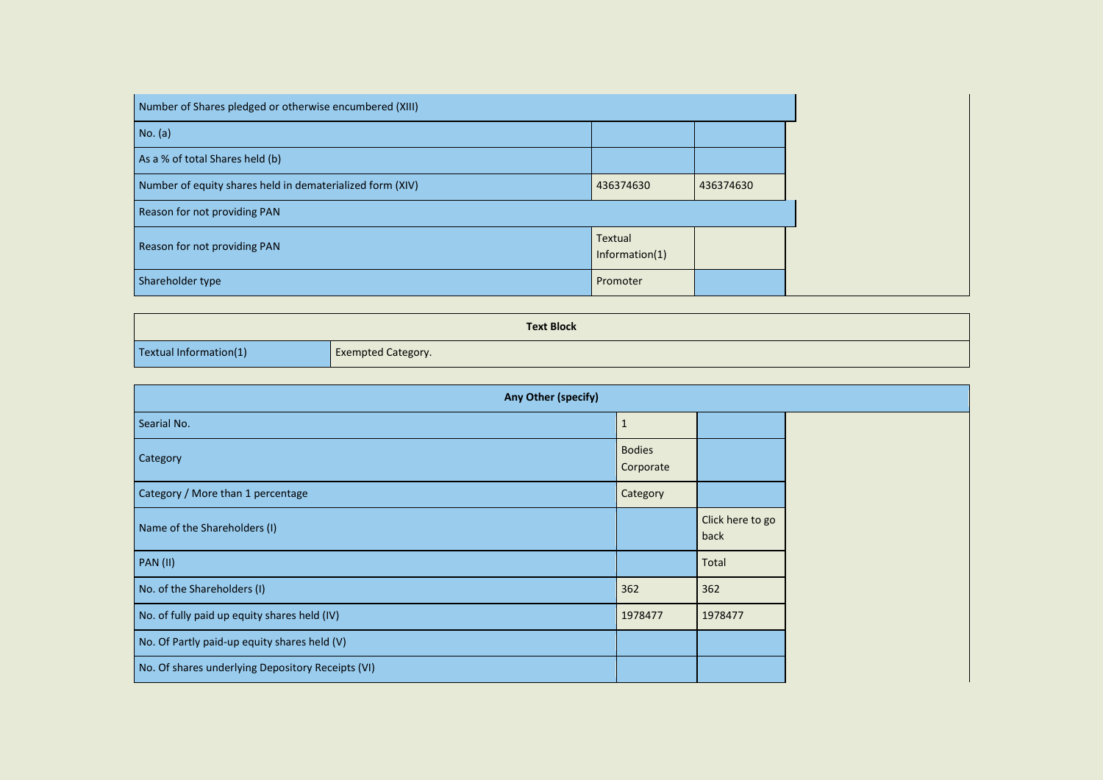| Number of Shares pledged or otherwise encumbered (XIII)   |                              |           |
|-----------------------------------------------------------|------------------------------|-----------|
| No. (a)                                                   |                              |           |
| As a % of total Shares held (b)                           |                              |           |
| Number of equity shares held in dematerialized form (XIV) | 436374630                    | 436374630 |
| Reason for not providing PAN                              |                              |           |
| Reason for not providing PAN                              | Textual<br>Information $(1)$ |           |
| Shareholder type                                          | Promoter                     |           |

| <b>Text Block</b>      |                           |  |  |  |  |
|------------------------|---------------------------|--|--|--|--|
| Textual Information(1) | <b>Exempted Category.</b> |  |  |  |  |

| Any Other (specify)                               |                            |                          |  |  |
|---------------------------------------------------|----------------------------|--------------------------|--|--|
| Searial No.                                       | $\mathbf{1}$               |                          |  |  |
| Category                                          | <b>Bodies</b><br>Corporate |                          |  |  |
| Category / More than 1 percentage                 | Category                   |                          |  |  |
| Name of the Shareholders (I)                      |                            | Click here to go<br>back |  |  |
| <b>PAN (II)</b>                                   |                            | Total                    |  |  |
| No. of the Shareholders (I)                       | 362                        | 362                      |  |  |
| No. of fully paid up equity shares held (IV)      | 1978477                    | 1978477                  |  |  |
| No. Of Partly paid-up equity shares held (V)      |                            |                          |  |  |
| No. Of shares underlying Depository Receipts (VI) |                            |                          |  |  |